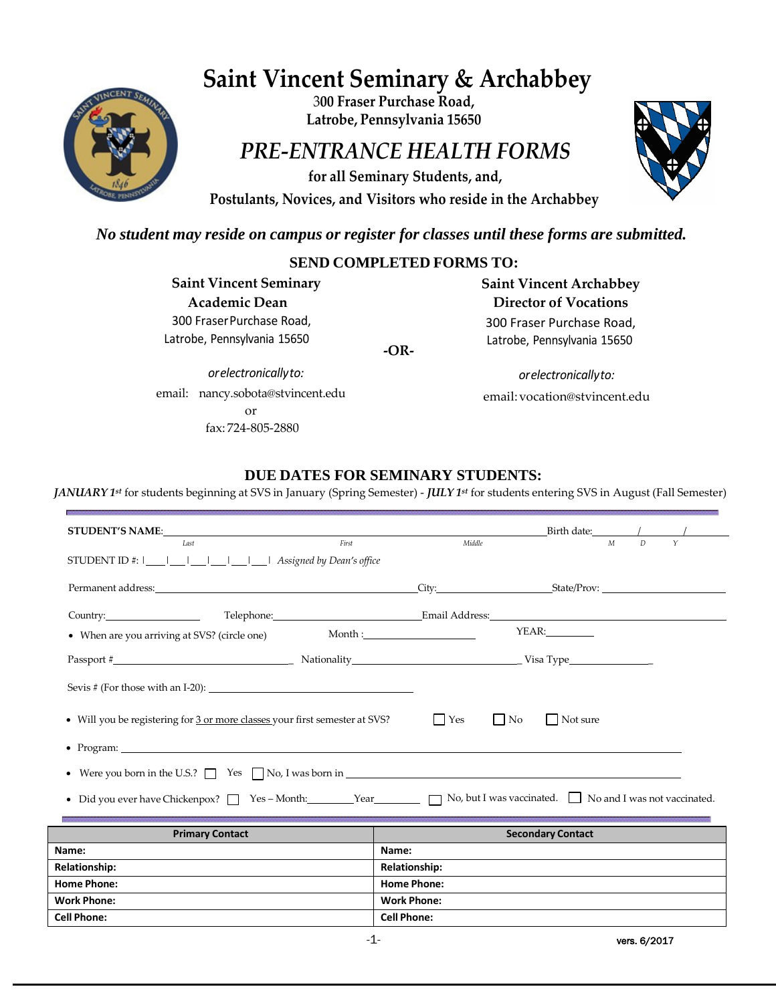# **Saint Vincent Seminary & Archabbey**



3**00 Fraser Purchase Road, Latrobe, Pennsylvania 15650**

# *PRE-ENTRANCE HEALTH FORMS*

**for all Seminary Students, and, Postulants, Novices, and Visitors who reside in the Archabbey**



# *No student may reside on campus or register for classes until these forms are submitted.*

### **SEND COMPLETED FORMS TO:**

**Saint Vincent Seminary Academic Dean** 300 FraserPurchase Road, Latrobe, Pennsylvania 15650

**-OR-**

*orelectronicallyto:* email[:vocation@stvincent.edu](mailto:vocation@stvincent.edu)

**Saint Vincent Archabbey Director of Vocations**  300 Fraser Purchase Road, Latrobe, Pennsylvania 15650

*orelectronicallyto:* email: [nancy.sobota@stvincent.edu](mailto:nancy.sobota@stvincent.edu) or fax: 724-805-2880

### **DUE DATES FOR SEMINARY STUDENTS:**

*JANUARY 1st* for students beginning at SVS in January (Spring Semester) - *JULY 1st* for students entering SVS in August (Fall Semester)

| STUDENT'S NAME:                                                                                                 |                      |                          | Birth date: $\frac{1}{1}$ /                      |
|-----------------------------------------------------------------------------------------------------------------|----------------------|--------------------------|--------------------------------------------------|
| First<br>Last<br>STUDENT ID #: $ $                   Assigned by Dean's office                                  | Middle               |                          | $\overline{D}$<br>$\mathsf{Y}$<br>M              |
|                                                                                                                 |                      |                          |                                                  |
|                                                                                                                 |                      |                          |                                                  |
|                                                                                                                 |                      |                          |                                                  |
| • When are you arriving at SVS? (circle one)                                                                    |                      | YEAR:                    |                                                  |
| Passport # Nationality Nationality Nationality Visa Type Visa Type                                              |                      |                          |                                                  |
|                                                                                                                 |                      |                          |                                                  |
|                                                                                                                 |                      |                          |                                                  |
| • Will you be registering for 3 or more classes your first semester at SVS?                                     | $  \nvert$ Yes       | $\vert$ No<br>  Not sure |                                                  |
| • Program: $\blacksquare$                                                                                       |                      |                          |                                                  |
| • Were you born in the U.S.? $\Box$ Yes $\Box$ No, I was born in $\Box$                                         |                      |                          |                                                  |
| • Did you ever have Chickenpox? T Yes - Month: Year Year No, but I was vaccinated. No and I was not vaccinated. |                      |                          |                                                  |
|                                                                                                                 |                      |                          |                                                  |
| <b>Primary Contact</b>                                                                                          |                      | <b>Secondary Contact</b> |                                                  |
| Name:                                                                                                           | Name:                |                          |                                                  |
| <b>Relationship:</b>                                                                                            | <b>Relationship:</b> |                          |                                                  |
| <b>Home Phone:</b>                                                                                              | <b>Home Phone:</b>   |                          |                                                  |
| Work Phone:                                                                                                     | <b>Work Phone:</b>   |                          |                                                  |
| <b>Cell Phone:</b>                                                                                              | <b>Cell Phone:</b>   |                          |                                                  |
|                                                                                                                 | $\overline{ }$       |                          | $\sim$ $\sim$ $\sim$ $\sim$ $\sim$ $\sim$ $\sim$ |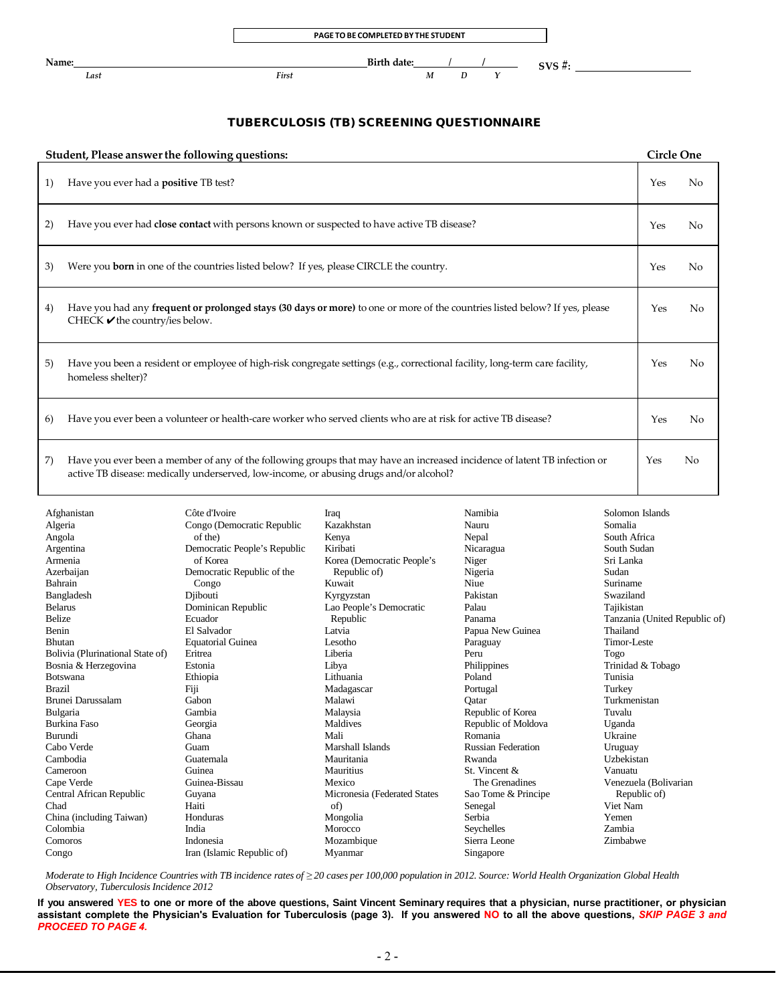

### TUBERCULOSIS (TB) SCREENING QUESTIONNAIRE

| Student, Please answer the following questions: |                                                                                                                                                                                                                     |     |                |  |  |
|-------------------------------------------------|---------------------------------------------------------------------------------------------------------------------------------------------------------------------------------------------------------------------|-----|----------------|--|--|
| 1)                                              | Have you ever had a <b>positive</b> TB test?                                                                                                                                                                        | Yes | N <sub>0</sub> |  |  |
| 2)                                              | Have you ever had close contact with persons known or suspected to have active TB disease?                                                                                                                          | Yes | No             |  |  |
| 3)                                              | Were you <b>born</b> in one of the countries listed below? If yes, please CIRCLE the country.                                                                                                                       | Yes | No             |  |  |
| 4)                                              | Have you had any <b>frequent or prolonged stays (30 days or more)</b> to one or more of the countries listed below? If yes, please<br>CHECK $\blacktriangleright$ the country/ies below.                            | Yes | No             |  |  |
| 5)                                              | Have you been a resident or employee of high-risk congregate settings (e.g., correctional facility, long-term care facility,<br>homeless shelter)?                                                                  | Yes | No             |  |  |
| 6)                                              | Have you ever been a volunteer or health-care worker who served clients who are at risk for active TB disease?                                                                                                      | Yes | No             |  |  |
| 7)                                              | Have you ever been a member of any of the following groups that may have an increased incidence of latent TB infection or<br>active TB disease: medically underserved, low-income, or abusing drugs and/or alcohol? | Yes | No             |  |  |

| Afghanistan                      | Côte d'Ivoire                | Iraq                         | Namibia                   | Solomon Islands               |
|----------------------------------|------------------------------|------------------------------|---------------------------|-------------------------------|
| Algeria                          | Congo (Democratic Republic   | Kazakhstan                   | Nauru                     | Somalia                       |
| Angola                           | of the)                      | Kenya                        | Nepal                     | South Africa                  |
| Argentina                        | Democratic People's Republic | Kiribati                     | Nicaragua                 | South Sudan                   |
| Armenia                          | of Korea                     | Korea (Democratic People's   | Niger                     | Sri Lanka                     |
| Azerbaijan                       | Democratic Republic of the   | Republic of)                 | Nigeria                   | Sudan                         |
| Bahrain                          | Congo                        | Kuwait                       | Niue                      | Suriname                      |
| Bangladesh                       | Djibouti                     | Kyrgyzstan                   | Pakistan                  | Swaziland                     |
| <b>Belarus</b>                   | Dominican Republic           | Lao People's Democratic      | Palau                     | Tajikistan                    |
| Belize                           | Ecuador                      | Republic                     | Panama                    | Tanzania (United Republic of) |
| Benin                            | El Salvador                  | Latvia                       | Papua New Guinea          | Thailand                      |
| <b>Bhutan</b>                    | <b>Equatorial Guinea</b>     | Lesotho                      | Paraguay                  | Timor-Leste                   |
| Bolivia (Plurinational State of) | Eritrea                      | Liberia                      | Peru                      | Togo                          |
| Bosnia & Herzegovina             | Estonia                      | Libya                        | Philippines               | Trinidad & Tobago             |
| <b>Botswana</b>                  | Ethiopia                     | Lithuania                    | Poland                    | Tunisia                       |
| <b>Brazil</b>                    | Fiji                         | Madagascar                   | Portugal                  | Turkey                        |
| Brunei Darussalam                | Gabon                        | Malawi                       | Oatar                     | Turkmenistan                  |
| Bulgaria                         | Gambia                       | Malaysia                     | Republic of Korea         | Tuvalu                        |
| <b>Burkina Faso</b>              | Georgia                      | Maldives                     | Republic of Moldova       | Uganda                        |
| Burundi                          | Ghana                        | Mali                         | Romania                   | Ukraine                       |
| Cabo Verde                       | Guam                         | Marshall Islands             | <b>Russian Federation</b> | Uruguay                       |
| Cambodia                         | Guatemala                    | Mauritania                   | Rwanda                    | Uzbekistan                    |
| Cameroon                         | Guinea                       | Mauritius                    | St. Vincent &             | Vanuatu                       |
| Cape Verde                       | Guinea-Bissau                | Mexico                       | The Grenadines            | Venezuela (Bolivarian         |
| Central African Republic         | Guyana                       | Micronesia (Federated States | Sao Tome & Principe       | Republic of)                  |
| Chad                             | Haiti                        | of)                          | Senegal                   | Viet Nam                      |
| China (including Taiwan)         | Honduras                     | Mongolia                     | Serbia                    | Yemen                         |
| Colombia                         | India                        | Morocco                      | Seychelles                | Zambia                        |
| Comoros                          | Indonesia                    | Mozambique                   | Sierra Leone              | Zimbabwe                      |
| Congo                            | Iran (Islamic Republic of)   | Myanmar                      | Singapore                 |                               |

Moderate to High Incidence Countries with TB incidence rates of  $\geq$  20 cases per 100,000 population in 2012. Source: World Health Organization Global Health *Observatory, Tuberculosis Incidence 2012*

If you answered YES to one or more of the above questions, Saint Vincent Seminary requires that a physician, nurse practitioner, or physician **assistant complete the Physician's Evaluation for Tuberculosis (page 3). If you answered NO to all the above questions,** *SKIP PAGE 3 and PROCEED TO PAGE 4.*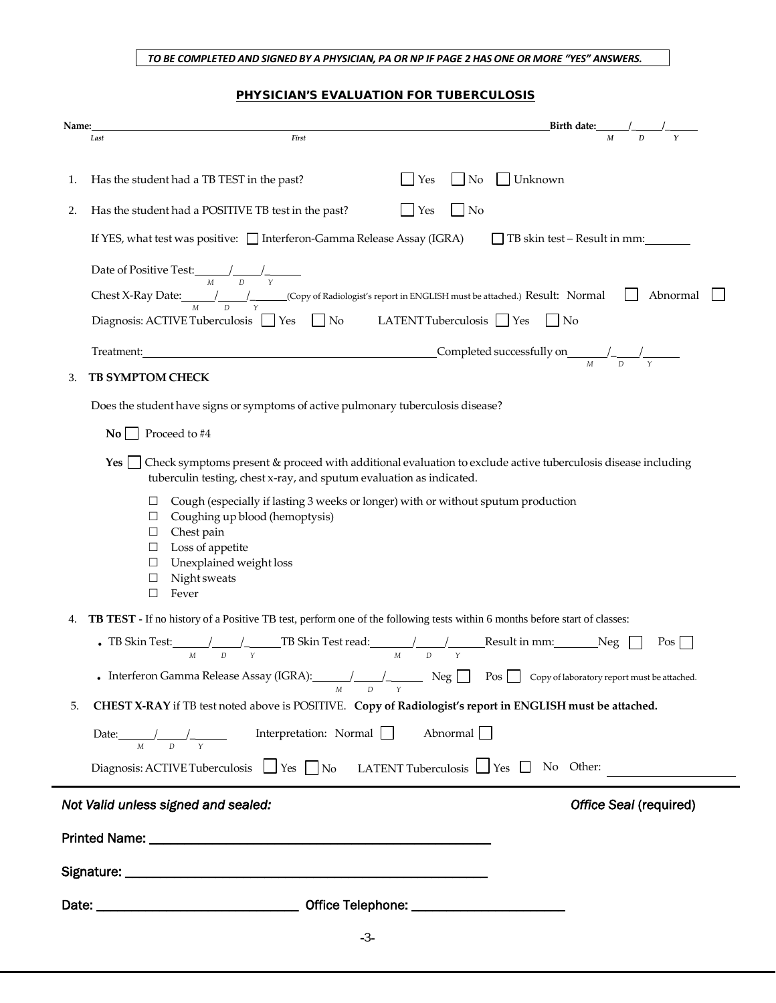#### *TO BE COMPLETED AND SIGNED BY A PHYSICIAN, PA OR NP IF PAGE 2 HAS ONE OR MORE "YES" ANSWERS.*

#### PHYSICIAN'S EVALUATION FOR TUBERCULOSIS

| Name: |                                                                                                                                                                                                                                                                         |                |                 | Birth date: $\frac{1}{M}$ $\frac{1}{D}$ $\frac{1}{Y}$ |
|-------|-------------------------------------------------------------------------------------------------------------------------------------------------------------------------------------------------------------------------------------------------------------------------|----------------|-----------------|-------------------------------------------------------|
|       | First<br>Last                                                                                                                                                                                                                                                           |                |                 |                                                       |
| 1.    | Has the student had a TB TEST in the past?                                                                                                                                                                                                                              | Yes            | No              | $\Box$ Unknown                                        |
| 2.    | Has the student had a POSITIVE TB test in the past?                                                                                                                                                                                                                     | $\Box$ Yes     | $\Box$ No       |                                                       |
|       | If YES, what test was positive: Interferon-Gamma Release Assay (IGRA)                                                                                                                                                                                                   |                |                 | □ TB skin test – Result in mm:                        |
|       | Date of Positive Test: $\frac{1}{M}$ $\frac{1}{D}$ $\frac{1}{\gamma}$                                                                                                                                                                                                   |                |                 |                                                       |
|       | Chest X-Ray Date: $\frac{1}{M}$ $\frac{1}{D}$ (Copy of Radiologist's report in ENGLISH must be attached.) Result: Normal                                                                                                                                                |                |                 | Abnormal                                              |
|       | Diagnosis: ACTIVE Tuberculosis $\Box$ Yes $\Box$ No LATENT Tuberculosis $\Box$ Yes $\Box$ No                                                                                                                                                                            |                |                 |                                                       |
|       |                                                                                                                                                                                                                                                                         |                |                 |                                                       |
| 3.    | <b>TB SYMPTOM CHECK</b>                                                                                                                                                                                                                                                 |                |                 |                                                       |
|       | Does the student have signs or symptoms of active pulmonary tuberculosis disease?                                                                                                                                                                                       |                |                 |                                                       |
|       | $\mathbf{No}$ Proceed to #4                                                                                                                                                                                                                                             |                |                 |                                                       |
|       | Check symptoms present & proceed with additional evaluation to exclude active tuberculosis disease including<br>Yes<br>tuberculin testing, chest x-ray, and sputum evaluation as indicated.                                                                             |                |                 |                                                       |
|       | Cough (especially if lasting 3 weeks or longer) with or without sputum production<br>⊔<br>Coughing up blood (hemoptysis)<br>$\Box$<br>Chest pain<br>$\Box$<br>$\Box$ Loss of appetite<br>Unexplained weight loss<br>$\Box$<br>Night sweats<br>$\Box$<br>$\Box$<br>Fever |                |                 |                                                       |
| 4.    | <b>TB TEST</b> - If no history of a Positive TB test, perform one of the following tests within 6 months before start of classes:                                                                                                                                       |                |                 |                                                       |
|       | • TB Skin Test: $\frac{1}{M}$ $\frac{1}{D}$ $\frac{1}{Y}$ TB Skin Test read: $\frac{1}{M}$ $\frac{1}{D}$ $\frac{1}{Y}$ Result in mm: Neg                                                                                                                                |                |                 | Pos                                                   |
|       | • Interferon Gamma Release Assay (IGRA): $\frac{1}{\sqrt{1-\frac{1}{n}}}\sqrt{1-\frac{1}{n}}$ Neg $\Box$ Pos $\Box$ Copy of laboratory report must be attached.                                                                                                         | $\overline{D}$ |                 |                                                       |
| 5.    | CHEST X-RAY if TB test noted above is POSITIVE. Copy of Radiologist's report in ENGLISH must be attached.                                                                                                                                                               |                |                 |                                                       |
|       | Date: $\frac{1}{M}$ $\frac{1}{N}$ Interpretation: Normal $\Box$                                                                                                                                                                                                         |                | Abnormal $\Box$ |                                                       |
|       | Diagnosis: ACTIVE Tuberculosis $\Box$ Yes $\Box$ No LATENT Tuberculosis $\Box$ Yes $\Box$ No Other:                                                                                                                                                                     |                |                 |                                                       |
|       | Not Valid unless signed and sealed:                                                                                                                                                                                                                                     |                |                 | Office Seal (required)                                |
|       |                                                                                                                                                                                                                                                                         |                |                 |                                                       |
|       |                                                                                                                                                                                                                                                                         |                |                 |                                                       |
|       |                                                                                                                                                                                                                                                                         |                |                 |                                                       |
|       |                                                                                                                                                                                                                                                                         |                |                 |                                                       |
|       |                                                                                                                                                                                                                                                                         | $-3-$          |                 |                                                       |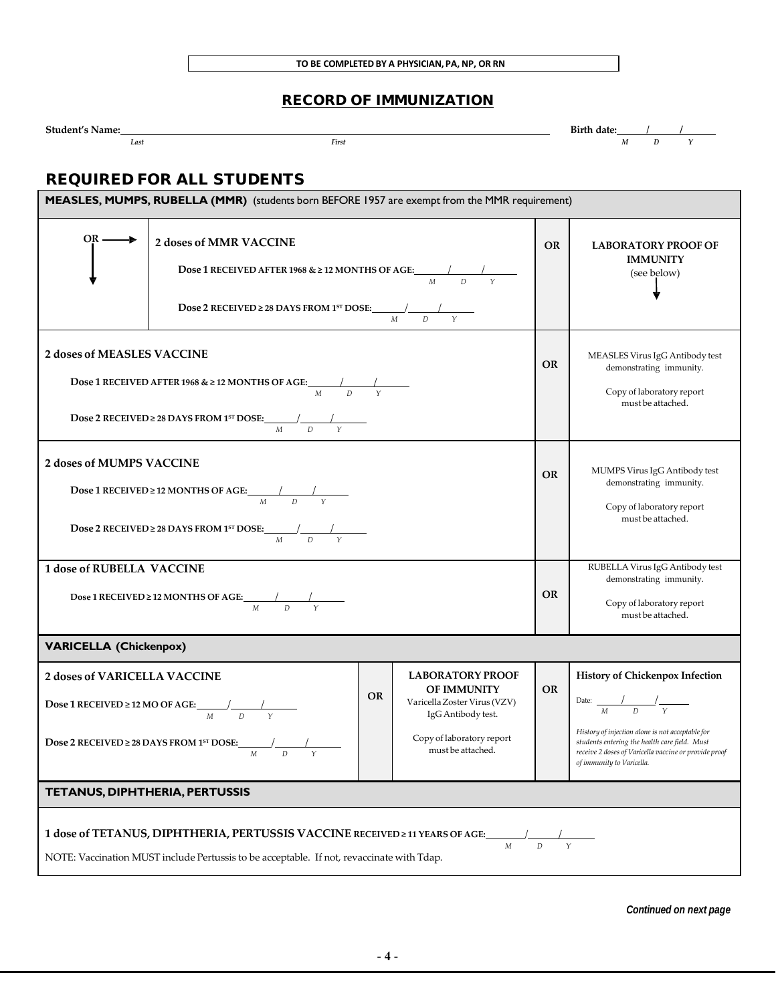# RECORD OF IMMUNIZATION

| Student<br><b>\ame</b> |      |       | date: |  |  |
|------------------------|------|-------|-------|--|--|
|                        | Last | First | IVI   |  |  |

# REQUIRED FOR ALL STUDENTS

| MEASLES, MUMPS, RUBELLA (MMR) (students born BEFORE 1957 are exempt from the MMR requirement)                                                                                                  |                                                                                                                                                                                                                                                          |           |                                                                                                                                                                                                                                                                           |  |  |  |
|------------------------------------------------------------------------------------------------------------------------------------------------------------------------------------------------|----------------------------------------------------------------------------------------------------------------------------------------------------------------------------------------------------------------------------------------------------------|-----------|---------------------------------------------------------------------------------------------------------------------------------------------------------------------------------------------------------------------------------------------------------------------------|--|--|--|
|                                                                                                                                                                                                | 2 doses of MMR VACCINE<br><b>Dose 1 RECEIVED AFTER 1968 &amp; <math>\geq</math> 12 MONTHS OF AGE:</b> $\frac{1}{M}$ $\frac{1}{D}$ $\frac{1}{Y}$<br><b>Dose 2 RECEIVED</b> ≥ 28 DAYS FROM 1 <sup>5T</sup> DOSE: $\frac{1}{M}$ $\frac{1}{D}$ $\frac{1}{Y}$ | <b>OR</b> | <b>LABORATORY PROOF OF</b><br><b>IMMUNITY</b><br>(see below)                                                                                                                                                                                                              |  |  |  |
| <b>2 doses of MEASLES VACCINE</b>                                                                                                                                                              | <b>Dose 1 RECEIVED AFTER 1968 &amp; <math>\geq</math> 12 MONTHS OF AGE:</b> $\frac{1}{M}$ $\frac{1}{D}$ $\frac{1}{Y}$<br><b>Dose 2 RECEIVED</b> ≥ 28 DAYS FROM 1 <sup>st</sup> DOSE: $\frac{M}{M}$ $\frac{1}{D}$ $\frac{1}{Y}$                           | <b>OR</b> | MEASLES Virus IgG Antibody test<br>demonstrating immunity.<br>Copy of laboratory report<br>must be attached.                                                                                                                                                              |  |  |  |
| 2 doses of MUMPS VACCINE                                                                                                                                                                       | <b>Dose 1 RECEIVED ≥ 12 MONTHS OF AGE:</b> $\frac{1}{M}$ $\frac{1}{D}$ $\frac{1}{Y}$<br><b>Dose 2 RECEIVED</b> ≥ 28 DAYS FROM 1 <sup>st</sup> DOSE: $\frac{1}{M}$ $\frac{1}{D}$ $\frac{1}{Y}$                                                            | <b>OR</b> | MUMPS Virus IgG Antibody test<br>demonstrating immunity.<br>Copy of laboratory report<br>must be attached.                                                                                                                                                                |  |  |  |
| <b>1 dose of RUBELLA VACCINE</b>                                                                                                                                                               | Dose 1 RECEIVED ≥ 12 MONTHS OF AGE:<br>$\frac{1}{M}$ D Y                                                                                                                                                                                                 | <b>OR</b> | RUBELLA Virus IgG Antibody test<br>demonstrating immunity.<br>Copy of laboratory report<br>must be attached.                                                                                                                                                              |  |  |  |
| <b>VARICELLA (Chickenpox)</b>                                                                                                                                                                  |                                                                                                                                                                                                                                                          |           |                                                                                                                                                                                                                                                                           |  |  |  |
| 2 doses of VARICELLA VACCINE                                                                                                                                                                   | <b>Dose 1 RECEIVED ≥ 12 MO OF AGE:</b> $\frac{1}{M}$ $\frac{1}{D}$ $\frac{1}{Y}$<br>Dose 2 RECEIVED ≥ 28 DAYS FROM 1ST DOSE:<br>$M_{\odot}$<br>$\gamma$<br>D                                                                                             | <b>OR</b> | History of Chickenpox Infection<br>Date: $\frac{1}{M} \frac{1}{D} \frac{1}{Y}$<br>History of injection alone is not acceptable for<br>students entering the health care field. Must<br>receive 2 doses of Varicella vaccine or provide proof<br>of immunity to Varicella. |  |  |  |
| TETANUS, DIPHTHERIA, PERTUSSIS                                                                                                                                                                 |                                                                                                                                                                                                                                                          |           |                                                                                                                                                                                                                                                                           |  |  |  |
| 1 dose of TETANUS, DIPHTHERIA, PERTUSSIS VACCINE RECEIVED ≥11 YEARS OF AGE:<br>$\gamma$<br>M<br>D<br>NOTE: Vaccination MUST include Pertussis to be acceptable. If not, revaccinate with Tdap. |                                                                                                                                                                                                                                                          |           |                                                                                                                                                                                                                                                                           |  |  |  |

*Continued on next page*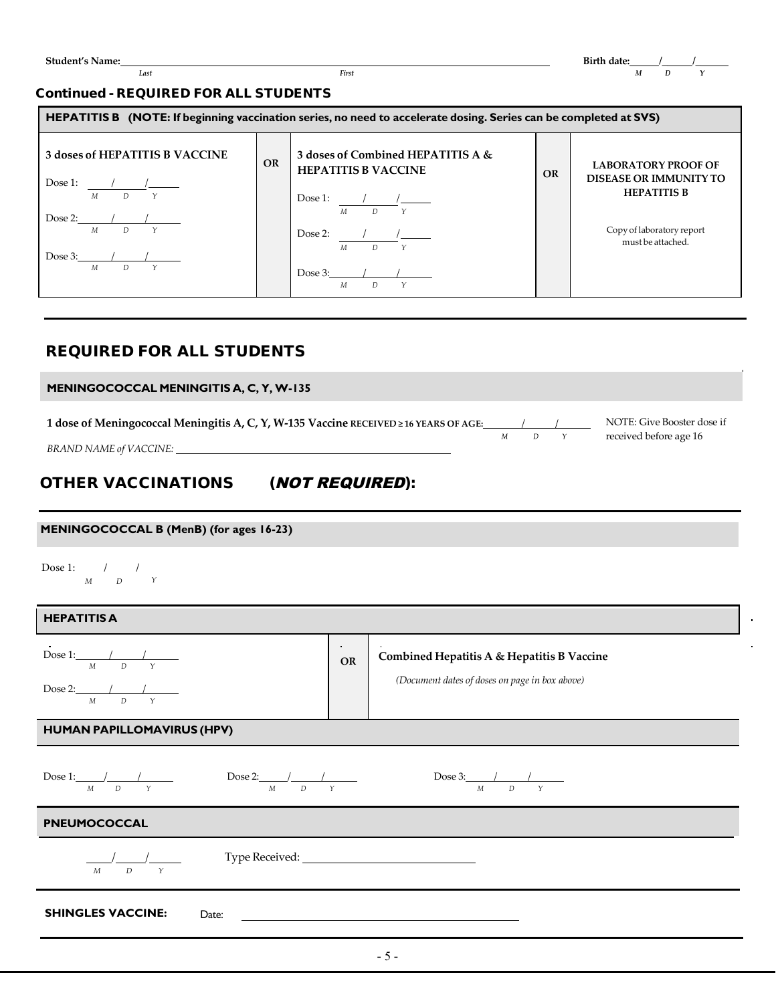#### Continued - REQUIRED FOR ALL STUDENTS

| HEPATITIS B (NOTE: If beginning vaccination series, no need to accelerate dosing. Series can be completed at SVS)                                                                                                |           |                                                                                                                                                                                                                                       |           |                                                                                                                                     |  |  |  |
|------------------------------------------------------------------------------------------------------------------------------------------------------------------------------------------------------------------|-----------|---------------------------------------------------------------------------------------------------------------------------------------------------------------------------------------------------------------------------------------|-----------|-------------------------------------------------------------------------------------------------------------------------------------|--|--|--|
| <b>3 doses of HEPATITIS B VACCINE</b><br>Dose 1:<br>$\frac{1}{\sqrt{2}}$<br>$\overline{D}$ $\gamma$<br>M<br>$Dose 2:$ / /<br>$D \qquad Y$<br>M<br>Dose 3: $\frac{1}{2}$ /<br>$\mathbf{Y}$<br>$\overline{D}$<br>M | <b>OR</b> | 3 doses of Combined HEPATITIS A &<br><b>HEPATITIS B VACCINE</b><br>Dose 1: $\frac{1}{M} \frac{1}{D} \frac{1}{Y}$<br>Dose 2: $\frac{1}{\sqrt{2}}$<br>D<br>$\mathcal{M}$<br>Dose 3: $\frac{1}{2}$ /<br>$\boldsymbol{M}$<br>$D \qquad Y$ | <b>OR</b> | <b>LABORATORY PROOF OF</b><br><b>DISEASE OR IMMUNITY TO</b><br><b>HEPATITIS B</b><br>Copy of laboratory report<br>must be attached. |  |  |  |

# REQUIRED FOR ALL STUDENTS

| MENINGOCOCCAL MENINGITIS A, C, Y, W-135                                                                         |   |  |                                                      |
|-----------------------------------------------------------------------------------------------------------------|---|--|------------------------------------------------------|
| 1 dose of Meningococcal Meningitis A, C, Y, W-135 Vaccine RECEIVED ≥ 16 YEARS OF AGE:<br>BRAND NAME of VACCINE: | М |  | NOTE: Give Booster dose if<br>received before age 16 |
|                                                                                                                 |   |  |                                                      |

# OTHER VACCINATIONS (NOT REQUIRED):

#### **MENINGOCOCCAL B (MenB) (for ages 16-23)**

Dose 1: / / *M D Y*

| <b>HEPATITIS A</b>                                                                                                                                       |                              |                                                                                              |  |  |  |  |
|----------------------------------------------------------------------------------------------------------------------------------------------------------|------------------------------|----------------------------------------------------------------------------------------------|--|--|--|--|
| Dose 1: $\frac{1}{M}$ $\frac{1}{D}$ $\frac{1}{Y}$<br>Dose 2: $\frac{1}{M}$ $\frac{1}{D}$                                                                 | $\Delta \sim 1$<br><b>OR</b> | Combined Hepatitis A & Hepatitis B Vaccine<br>(Document dates of doses on page in box above) |  |  |  |  |
| HUMAN PAPILLOMAVIRUS (HPV)                                                                                                                               |                              |                                                                                              |  |  |  |  |
| Dose 1: $\frac{1}{M}$ $\frac{1}{D}$ $\frac{1}{Y}$ Dose 2: $\frac{1}{M}$ $\frac{1}{D}$ $\frac{1}{Y}$<br>Dose 3: $\frac{1}{M}$ $\frac{1}{D}$ $\frac{1}{Y}$ |                              |                                                                                              |  |  |  |  |
| PNEUMOCOCCAL                                                                                                                                             |                              |                                                                                              |  |  |  |  |
| $\overline{\phantom{a}}$<br>$\overline{D}$<br>$\gamma$<br>$\overline{M}$                                                                                 |                              |                                                                                              |  |  |  |  |
| <b>SHINGLES VACCINE:</b><br>Date:                                                                                                                        |                              |                                                                                              |  |  |  |  |
|                                                                                                                                                          |                              |                                                                                              |  |  |  |  |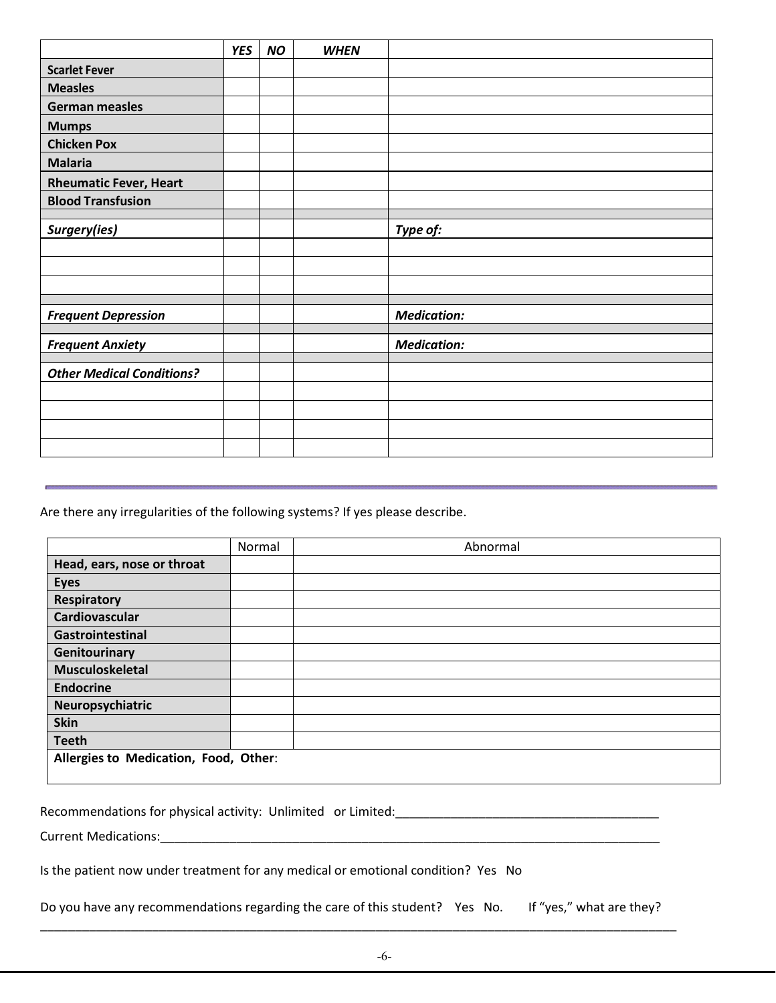|                                  | <b>YES</b> | <b>NO</b> | <b>WHEN</b> |                    |
|----------------------------------|------------|-----------|-------------|--------------------|
| <b>Scarlet Fever</b>             |            |           |             |                    |
| <b>Measles</b>                   |            |           |             |                    |
| <b>German measles</b>            |            |           |             |                    |
| <b>Mumps</b>                     |            |           |             |                    |
| <b>Chicken Pox</b>               |            |           |             |                    |
| <b>Malaria</b>                   |            |           |             |                    |
| <b>Rheumatic Fever, Heart</b>    |            |           |             |                    |
| <b>Blood Transfusion</b>         |            |           |             |                    |
|                                  |            |           |             |                    |
| Surgery(ies)                     |            |           |             | Type of:           |
|                                  |            |           |             |                    |
|                                  |            |           |             |                    |
|                                  |            |           |             |                    |
| <b>Frequent Depression</b>       |            |           |             | <b>Medication:</b> |
|                                  |            |           |             | <b>Medication:</b> |
| <b>Frequent Anxiety</b>          |            |           |             |                    |
| <b>Other Medical Conditions?</b> |            |           |             |                    |
|                                  |            |           |             |                    |
|                                  |            |           |             |                    |
|                                  |            |           |             |                    |
|                                  |            |           |             |                    |

Are there any irregularities of the following systems? If yes please describe.

|                                       | Normal | Abnormal |  |  |
|---------------------------------------|--------|----------|--|--|
| Head, ears, nose or throat            |        |          |  |  |
| <b>Eyes</b>                           |        |          |  |  |
| <b>Respiratory</b>                    |        |          |  |  |
| Cardiovascular                        |        |          |  |  |
| Gastrointestinal                      |        |          |  |  |
| Genitourinary                         |        |          |  |  |
| <b>Musculoskeletal</b>                |        |          |  |  |
| <b>Endocrine</b>                      |        |          |  |  |
| Neuropsychiatric                      |        |          |  |  |
| <b>Skin</b>                           |        |          |  |  |
| <b>Teeth</b>                          |        |          |  |  |
| Allergies to Medication, Food, Other: |        |          |  |  |

Recommendations for physical activity: Unlimited or Limited:\_\_\_\_\_\_\_\_\_\_\_\_\_\_\_\_\_\_\_\_\_\_\_\_\_\_\_\_\_\_\_\_\_\_\_\_\_\_

Current Medications:\_\_\_\_\_\_\_\_\_\_\_\_\_\_\_\_\_\_\_\_\_\_\_\_\_\_\_\_\_\_\_\_\_\_\_\_\_\_\_\_\_\_\_\_\_\_\_\_\_\_\_\_\_\_\_\_\_\_\_\_\_\_\_\_\_\_\_\_\_\_\_\_

Is the patient now under treatment for any medical or emotional condition? Yes No

Do you have any recommendations regarding the care of this student? Yes No. If "yes," what are they?

\_\_\_\_\_\_\_\_\_\_\_\_\_\_\_\_\_\_\_\_\_\_\_\_\_\_\_\_\_\_\_\_\_\_\_\_\_\_\_\_\_\_\_\_\_\_\_\_\_\_\_\_\_\_\_\_\_\_\_\_\_\_\_\_\_\_\_\_\_\_\_\_\_\_\_\_\_\_\_\_\_\_\_\_\_\_\_\_\_\_\_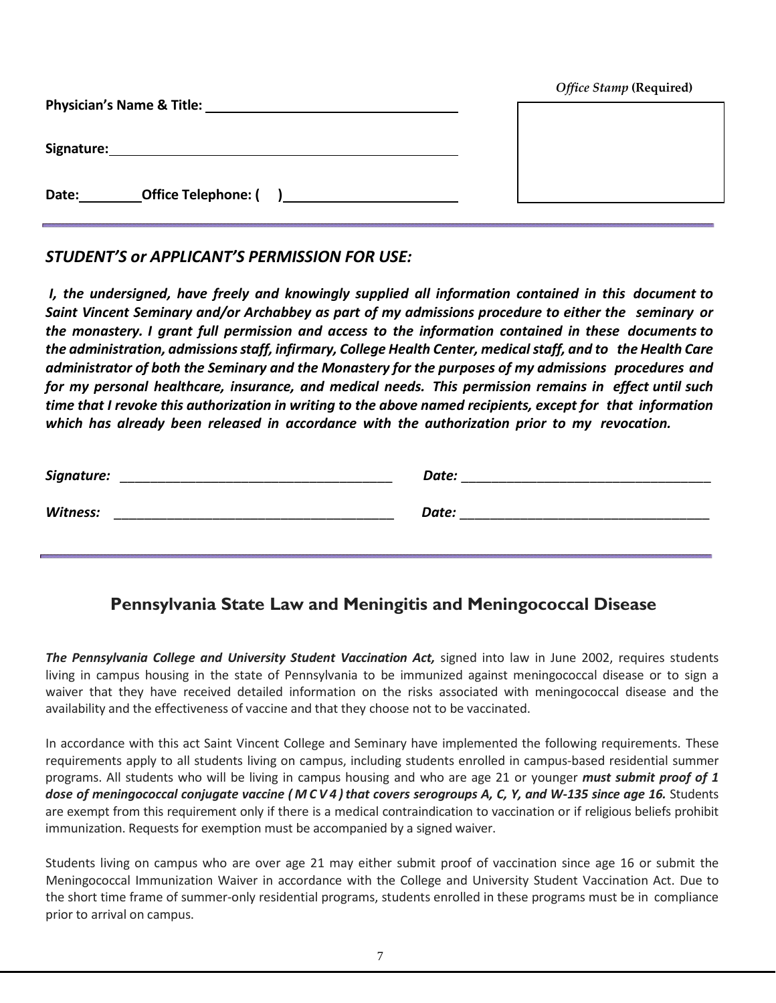| <b>Physician's Name &amp; Title:</b> | Office Stamp (Required) |
|--------------------------------------|-------------------------|
| Signature:                           |                         |
| <b>Office Telephone: (</b><br>Date:  |                         |

# *STUDENT'S or APPLICANT'S PERMISSION FOR USE:*

*I, the undersigned, have freely and knowingly supplied all information contained in this document to Saint Vincent Seminary and/or Archabbey as part of my admissions procedure to either the seminary or the monastery. I grant full permission and access to the information contained in these documents to the administration, admissions staff, infirmary, College Health Center, medicalstaff, and to the Health Care administrator of both the Seminary and the Monastery for the purposes of my admissions procedures and for my personal healthcare, insurance, and medical needs. This permission remains in effect until such time that I revoke this authorization in writing to the above named recipients, except for that information which has already been released in accordance with the authorization prior to my revocation.*

| Signature: | Date: |
|------------|-------|
| Witness:   | Date: |

# **Pennsylvania State Law and Meningitis and Meningococcal Disease**

*The Pennsylvania College and University Student Vaccination Act,* signed into law in June 2002, requires students living in campus housing in the state of Pennsylvania to be immunized against meningococcal disease or to sign a waiver that they have received detailed information on the risks associated with meningococcal disease and the availability and the effectiveness of vaccine and that they choose not to be vaccinated.

In accordance with this act Saint Vincent College and Seminary have implemented the following requirements. These requirements apply to all students living on campus, including students enrolled in campus-based residential summer programs. All students who will be living in campus housing and who are age 21 or younger *must submit proof of 1 dose* of *meningococcal conjugate vaccine* (*MCV4*) that *covers serogroups A, C, Y, and W-135 since age 16.* Students are exempt from this requirement only if there is a medical contraindication to vaccination or if religious beliefs prohibit immunization. Requests for exemption must be accompanied by a signed waiver.

Students living on campus who are over age 21 may either submit proof of vaccination since age 16 or submit the Meningococcal Immunization Waiver in accordance with the College and University Student Vaccination Act. Due to the short time frame of summer-only residential programs, students enrolled in these programs must be in compliance prior to arrival on campus.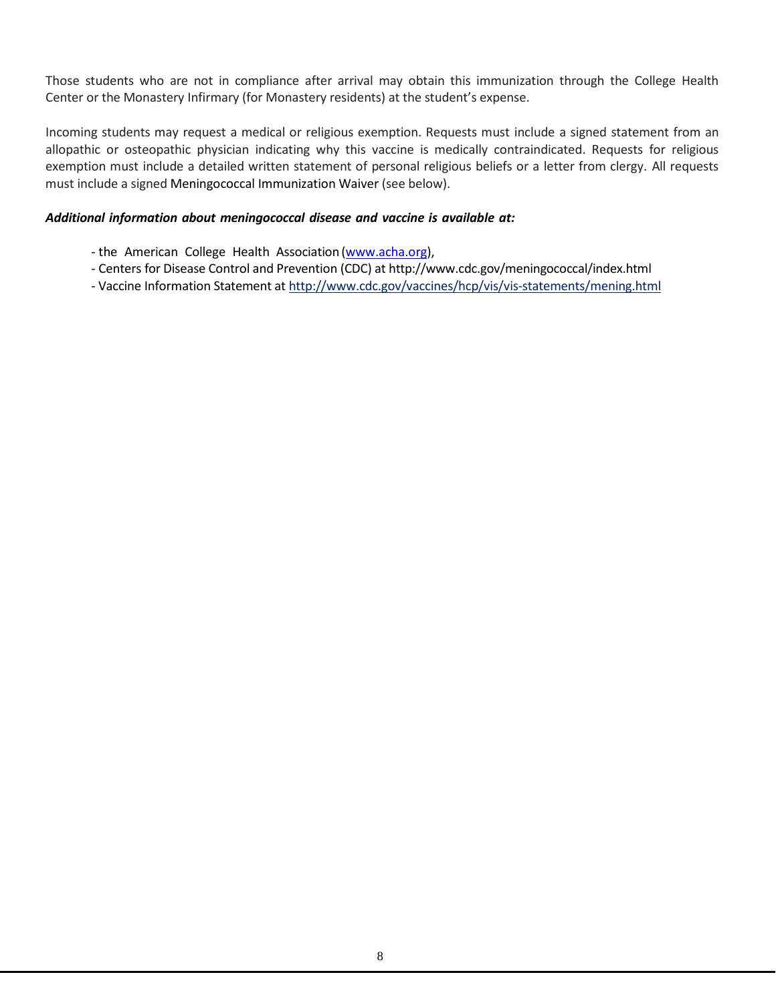Those students who are not in compliance after arrival may obtain this immunization through the College Health Center or the Monastery Infirmary (for Monastery residents) at the student's expense.

Incoming students may request a medical or religious exemption. Requests must include a signed statement from an allopathic or osteopathic physician indicating why this vaccine is medically contraindicated. Requests for religious exemption must include a detailed written statement of personal religious beliefs or a letter from clergy. All requests must include a signed Meningococcal [Immunization Waiver](http://www.vpul.upenn.edu/shs/files/meningwaiver2011.pdf) (see below).

#### *Additional information about meningococcal disease and vaccine is available at:*

- the American College Health Association [\(www.acha.org\)](http://www.acha.org/),
- Centers for Disease Control and Prevention (CDC) at <http://www.cdc.gov/meningococcal/index.html>
- Vaccine Information Statement at <http://www.cdc.gov/vaccines/hcp/vis/vis-statements/mening.html>